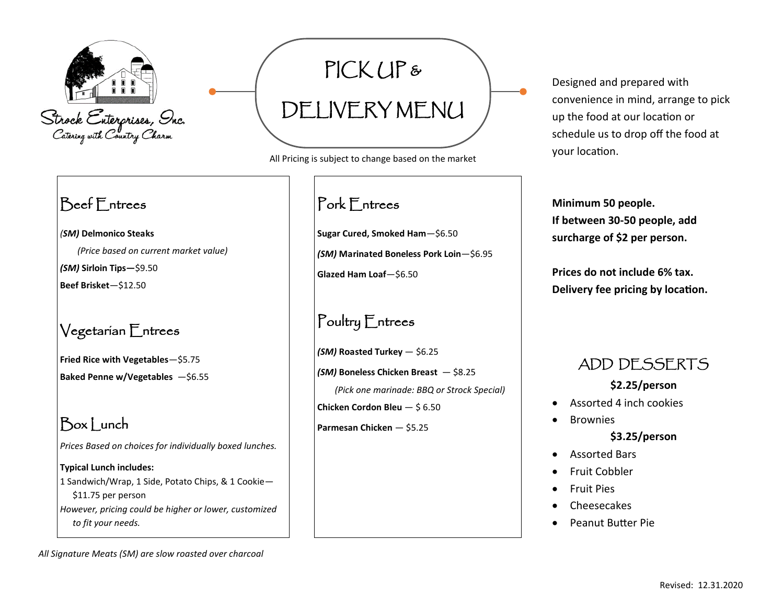

## Beef Entrees

*(SM)* **Delmonico Steaks** *(Price based on current market value)*

*(SM)* **Sirloin Tips—**\$9.50

**Beef Brisket**—\$12.50

#### Vegetarian Entrees

**Fried Rice with Vegetables**—\$5.75 **Baked Penne w/Vegetables** —\$6.55

## Box | unch

*Prices Based on choices for individually boxed lunches.*

#### **Typical Lunch includes:** 1 Sandwich/Wrap, 1 Side, Potato Chips, & 1 Cookie— \$11.75 per person *However, pricing could be higher or lower, customized to fit your needs.*

## PICK UP & DELIVERY MENU

All Pricing is subject to change based on the market

## Pork Entrees

**Sugar Cured, Smoked Ham**—\$6.50 *(SM)* **Marinated Boneless Pork Loin**—\$6.95 **Glazed Ham Loaf**—\$6.50

### Poultry Entrees

*(SM)* **Roasted Turkey** — \$6.25 *(SM)* **Boneless Chicken Breast** — \$8.25 *(Pick one marinade: BBQ or Strock Special)* **Chicken Cordon Bleu** — \$ 6.50

**Parmesan Chicken** — \$5.25

Designed and prepared with convenience in mind, arrange to pick up the food at our location or schedule us to drop off the food at your location.

**Minimum 50 people. If between 30-50 people, add surcharge of \$2 per person.** 

**Prices do not include 6% tax. Delivery fee pricing by location.** 

#### ADD DESSERTS

#### **\$2.25/person**

- Assorted 4 inch cookies
- Brownies

#### **\$3.25/person**

- Assorted Bars
- Fruit Cobbler
- Fruit Pies
- Cheesecakes
- Peanut Butter Pie